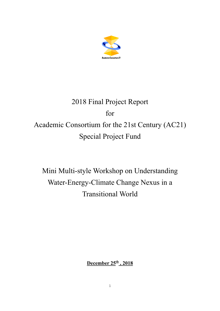

# 2018 Final Project Report for Academic Consortium for the 21st Century (AC21) Special Project Fund

Mini Multi-style Workshop on Understanding Water-Energy-Climate Change Nexus in a Transitional World

**December 25th , 2018**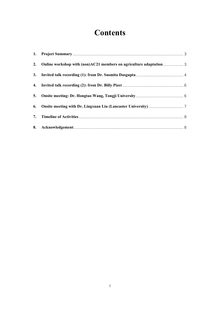## **Contents**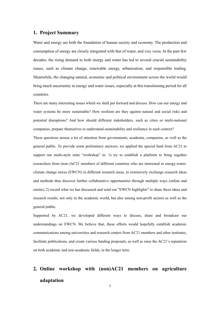#### <span id="page-2-0"></span>**1. Project Summary**

Water and energy are both the foundation of human society and economy. The production and consumption of energy are closely integrated with that of water, and vice versa. In the past few decades, the rising demand to both energy and water has led to several crucial sustainability issues, such as climate change, renewable energy, urbanization, and responsible trading. Meanwhile, the changing natural, economic and political environment across the world would bring much uncertainty to energy and water issues, especially at this transitioning period for all countries.

There are many interesting issues which we shall put forward and discuss. How can our energy and water systems be more sustainable? How resilient are they against natural and social risks and potential disruptions? And how should different stakeholders, such as cities or multi-national companies, prepare themselves to understand sustainability and resilience in such context?

These questions arouse a lot of attention from governments, academia, companies, as well as the general public. To provide some preliminary answers, we applied the special fund from AC21 to support our multi-style mini "workshop" to: 1) try to establish a platform to bring together researchers from (non-)AC21 members of different countries who are interested in energy-waterclimate change nexus (EWCN) in different research areas, to extensively exchange research ideas and methods thus discover further collaborative opportunities through multiple ways (online and onsite); 2) record what we has discussed and send out "EWCN highlights" to share these ideas and research results, not only in the academic world, but also among non-profit sectors as well as the general public.

Supported by AC21, we developed different ways to discuss, share and broadcast our understandings on EWCN. We believe that, these efforts would hopefully establish academic communications among universities and research centers from AC21 members and other institutes, facilitate publications, and create various funding proposals, as well as raise the AC21's reputation on both academic and non-academic fields, in the longer term.

## <span id="page-2-1"></span>**2. Online workshop with (non)AC21 members on agriculture adaptation**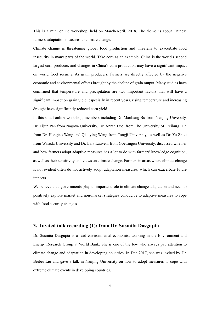This is a mini online workshop, held on March-April, 2018. The theme is about Chinese farmers' adaptation measures to climate change.

Climate change is threatening global food production and threatens to exacerbate food insecurity in many parts of the world. Take corn as an example. China is the world's second largest corn producer, and changes in China's corn production may have a significant impact on world food security. As grain producers, farmers are directly affected by the negative economic and environmental effects brought by the decline of grain output. Many studies have confirmed that temperature and precipitation are two important factors that will have a significant impact on grain yield, especially in recent years, rising temperature and increasing drought have significantly reduced corn yield.

In this small online workshop, members including Dr. Maoliang Bu from Nanjing Unversity, Dr. Lijun Pan from Nagoya University, Dr. Anran Luo, from The University of Freiburg, Dr. from Dr. Hongtao Wang and Qiaoying Wang from Tongji University, as well as Dr. Yu Zhou from Waseda University and Dr. Lars Lauven, from Goettingen University, discussed whether and how farmers adopt adaptive measures has a lot to do with farmers' knowledge cognition, as well as their sensitivity and views on climate change. Farmers in areas where climate change is not evident often do not actively adopt adaptation measures, which can exacerbate future impacts.

We believe that, governments play an important role in climate change adaptation and need to positively explore market and non-market strategies conducive to adaptive measures to cope with food security changes.

#### <span id="page-3-0"></span>**3. Invited talk recording (1): from Dr. Susmita Dasgupta**

Dr. Susmita Dasgupta is a lead environmental economist working in the Environment and Energy Research Group at World Bank. She is one of the few who always pay attention to climate change and adaptation in developing countries. In Dec 2017, she was invited by Dr. Beibei Liu and gave a talk in Nanjing University on how to adopt measures to cope with extreme climate events in developing countries.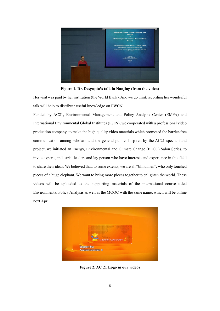

**Figure 1. Dr. Desgupta's talk in Nanjing (from the video)**

Her visit was paid by her institution (the World Bank). And we do think recording her wonderful talk will help to distribute useful knowledge on EWCN.

Funded by AC21, Environmental Management and Policy Analysis Center (EMPA) and International Environmental Global Institutes (IGES), we cooperated with a professional video production company, to make the high quality video materials which promoted the barrier-free communication among scholars and the general public. Inspired by the AC21 special fund project, we initiated an Energy, Environmental and Climate Change (EECC) Salon Series, to invite experts, industrial leaders and lay person who have interests and experience in this field to share their ideas. We believed that, to some extents, we are all "blind men", who only touched pieces of a huge elephant. We want to bring more pieces together to enlighten the world. These videos will be uploaded as the supporting materials of the international course titled Environmental Policy Analysis as well as the MOOC with the same name, which will be online next April



**Figure 2. AC 21 Logo in our videos**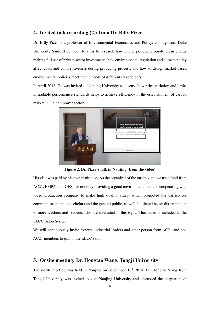#### <span id="page-5-0"></span>**4. Invited talk recording (2): from Dr. Billy Pizer**

Dr. Billy Pizer is a professor of Environmental Economics and Policy, coming from Duke University Sanford School. He aims to research how public policies promote clean energy making full use of private sector investments, how environmental regulation and climate policy affect costs and competitiveness during producing process, and how to design market-based environmental policies meeting the needs of different stakeholders.

In April 2018, He was invited to Nanjing University to discuss how price variation and limits in tradable performance standards helps to achieve efficiency in the establishment of carbon market in China's power sector.



**Figure 2. Dr. Pizer's talk in Nanjing (from the video)**

His visit was paid by his own institution. As the organizer of the onsite visit, we used fund from AC21, EMPA and IGES, for not only providing a good environment, but also cooperating with video production company to make high quality video, which promoted the barrier-free communication among scholars and the general public, as well facilitated better dissemination to more teachers and students who are interested in this topic. This video is included in the EECC Salon Series.

We will continuously invite experts, industrial leaders and other person from AC21 and non AC21 members to join in the EECC salon.

#### <span id="page-5-1"></span>**5. Onsite meeting: Dr. Hongtao Wang, Tongji University**

The onsite meeting was held in Nanjing on September  $18<sup>th</sup>$  2018. Dr. Hongtao Wang from Tongji University was invited to visit Nanjing University and discussed the adaptation of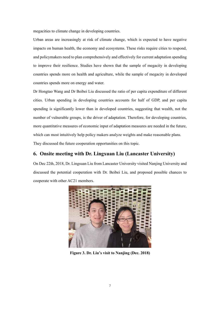megacities to climate change in developing countries.

Urban areas are increasingly at risk of climate change, which is expected to have negative impacts on human health, the economy and ecosystems. These risks require cities to respond, and policymakers need to plan comprehensively and effectively for current adaptation spending to improve their resilience. Studies have shown that the sample of megacity in developing countries spends more on health and agriculture, while the sample of megacity in developed countries spends more on energy and water.

Dr Hongtao Wang and Dr Beibei Liu discussed the ratio of per capita expenditure of different cities. Urban spending in developing countries accounts for half of GDP, and per capita spending is significantly lower than in developed countries, suggesting that wealth, not the number of vulnerable groups, is the driver of adaptation. Therefore, for developing countries, more quantitative measures of economic input of adaptation measures are needed in the future, which can most intuitively help policy makers analyze weights and make reasonable plans. They discussed the future cooperation opportunities on this topic.

#### <span id="page-6-0"></span>**6. Onsite meeting with Dr. Lingxuan Liu (Lancaster University)**

On Dec 22th, 2018, Dr. Lingsuan Liu from Lancaster University visited Nanjing University and discussed the potential cooperation with Dr. Beibei Liu, and proposed possible chances to cooperate with other AC21 members.



**Figure 3. Dr. Liu's visit to Nanjing (Dec. 2018)**